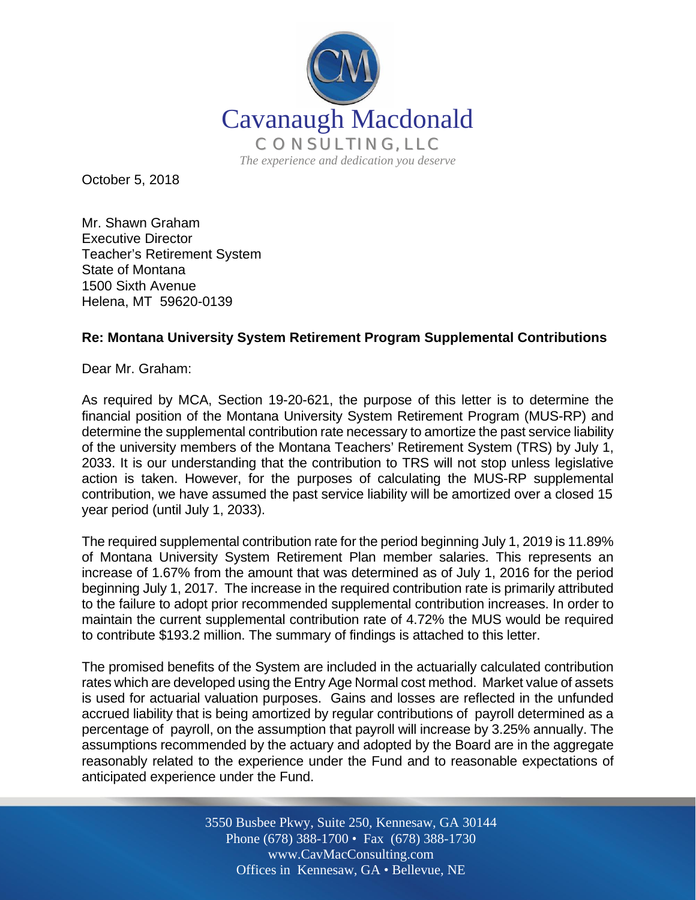

October 5, 2018

Mr. Shawn Graham Executive Director Teacher's Retirement System State of Montana 1500 Sixth Avenue Helena, MT 59620-0139

## **Re: Montana University System Retirement Program Supplemental Contributions**

Dear Mr. Graham:

As required by MCA, Section 19-20-621, the purpose of this letter is to determine the financial position of the Montana University System Retirement Program (MUS-RP) and determine the supplemental contribution rate necessary to amortize the past service liability of the university members of the Montana Teachers' Retirement System (TRS) by July 1, 2033. It is our understanding that the contribution to TRS will not stop unless legislative action is taken. However, for the purposes of calculating the MUS-RP supplemental contribution, we have assumed the past service liability will be amortized over a closed 15 year period (until July 1, 2033).

The required supplemental contribution rate for the period beginning July 1, 2019 is 11.89% of Montana University System Retirement Plan member salaries. This represents an increase of 1.67% from the amount that was determined as of July 1, 2016 for the period beginning July 1, 2017. The increase in the required contribution rate is primarily attributed to the failure to adopt prior recommended supplemental contribution increases. In order to maintain the current supplemental contribution rate of 4.72% the MUS would be required to contribute \$193.2 million. The summary of findings is attached to this letter.

The promised benefits of the System are included in the actuarially calculated contribution rates which are developed using the Entry Age Normal cost method. Market value of assets is used for actuarial valuation purposes. Gains and losses are reflected in the unfunded accrued liability that is being amortized by regular contributions of payroll determined as a percentage of payroll, on the assumption that payroll will increase by 3.25% annually. The assumptions recommended by the actuary and adopted by the Board are in the aggregate reasonably related to the experience under the Fund and to reasonable expectations of anticipated experience under the Fund.

> Off Offices in Kennesaw, GA • Bellevue, NE 3550 Busbee Pkwy, Suite 250, Kennesaw, GA 30144 Phone (678) 388-1700 • Fax (678) 388-1730 www.CavMacConsulting.com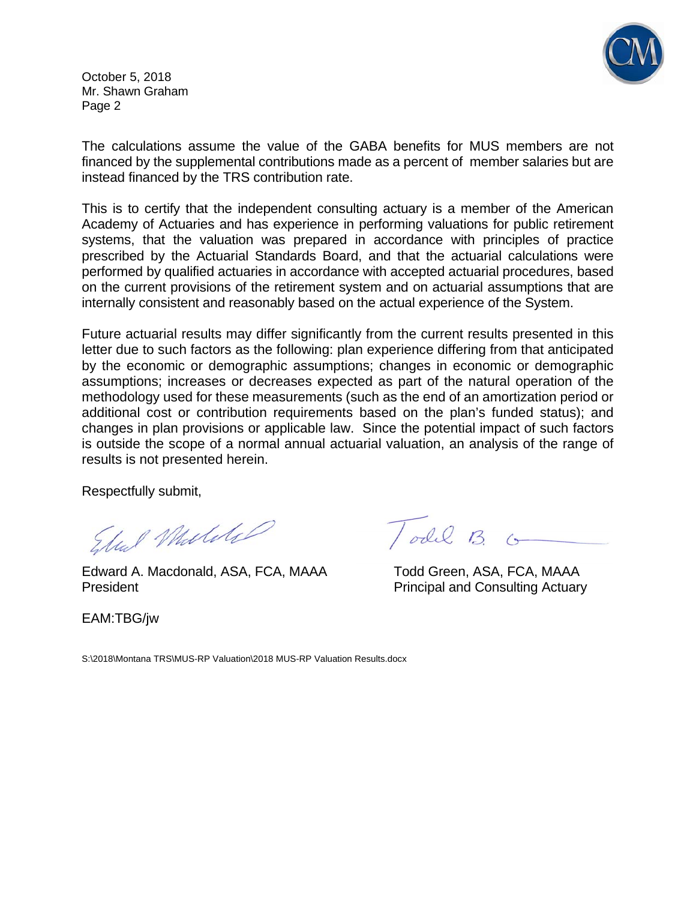

October 5, 2018 Mr. Shawn Graham Page 2

The calculations assume the value of the GABA benefits for MUS members are not financed by the supplemental contributions made as a percent of member salaries but are instead financed by the TRS contribution rate.

This is to certify that the independent consulting actuary is a member of the American Academy of Actuaries and has experience in performing valuations for public retirement systems, that the valuation was prepared in accordance with principles of practice prescribed by the Actuarial Standards Board, and that the actuarial calculations were performed by qualified actuaries in accordance with accepted actuarial procedures, based on the current provisions of the retirement system and on actuarial assumptions that are internally consistent and reasonably based on the actual experience of the System.

Future actuarial results may differ significantly from the current results presented in this letter due to such factors as the following: plan experience differing from that anticipated by the economic or demographic assumptions; changes in economic or demographic assumptions; increases or decreases expected as part of the natural operation of the methodology used for these measurements (such as the end of an amortization period or additional cost or contribution requirements based on the plan's funded status); and changes in plan provisions or applicable law. Since the potential impact of such factors is outside the scope of a normal annual actuarial valuation, an analysis of the range of results is not presented herein.

Respectfully submit,

Edward A. Macdonald, ASA, FCA, MAAA Todd Green, ASA, FCA, MAAA

President **President** Principal and Consulting Actuary

EAM:TBG/jw

Todil B. G

S:\2018\Montana TRS\MUS-RP Valuation\2018 MUS-RP Valuation Results.docx